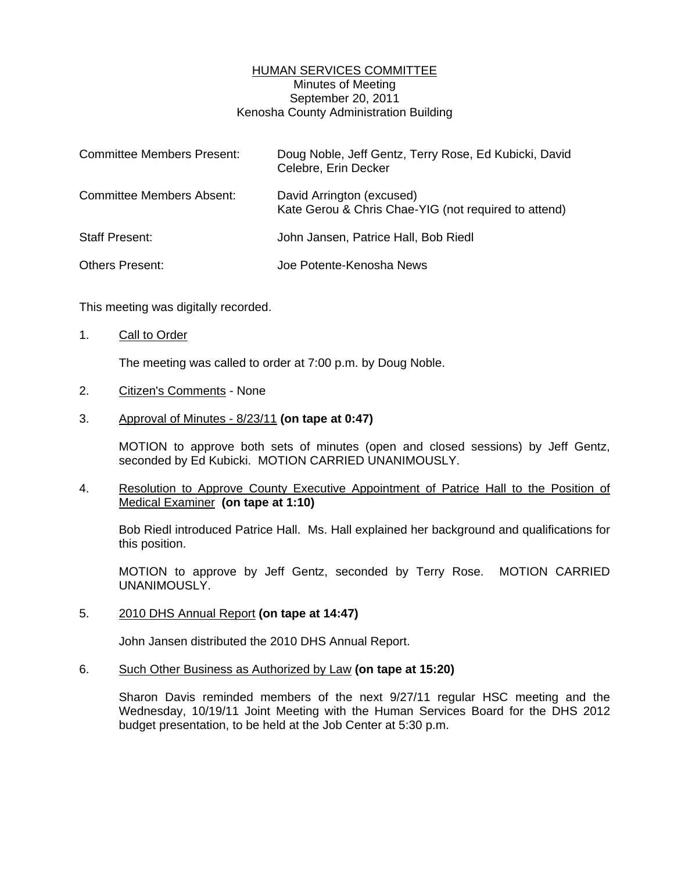## HUMAN SERVICES COMMITTEE Minutes of Meeting September 20, 2011 Kenosha County Administration Building

| <b>Committee Members Present:</b> | Doug Noble, Jeff Gentz, Terry Rose, Ed Kubicki, David<br>Celebre, Erin Decker     |
|-----------------------------------|-----------------------------------------------------------------------------------|
| <b>Committee Members Absent:</b>  | David Arrington (excused)<br>Kate Gerou & Chris Chae-YIG (not required to attend) |
| <b>Staff Present:</b>             | John Jansen, Patrice Hall, Bob Riedl                                              |
| <b>Others Present:</b>            | Joe Potente-Kenosha News                                                          |

This meeting was digitally recorded.

1. Call to Order

The meeting was called to order at 7:00 p.m. by Doug Noble.

- 2. Citizen's Comments None
- 3. Approval of Minutes 8/23/11 **(on tape at 0:47)**

 MOTION to approve both sets of minutes (open and closed sessions) by Jeff Gentz, seconded by Ed Kubicki. MOTION CARRIED UNANIMOUSLY.

4. Resolution to Approve County Executive Appointment of Patrice Hall to the Position of Medical Examiner **(on tape at 1:10)**

 Bob Riedl introduced Patrice Hall. Ms. Hall explained her background and qualifications for this position.

 MOTION to approve by Jeff Gentz, seconded by Terry Rose. MOTION CARRIED UNANIMOUSLY.

5. 2010 DHS Annual Report **(on tape at 14:47)** 

John Jansen distributed the 2010 DHS Annual Report.

6. Such Other Business as Authorized by Law **(on tape at 15:20)** 

 Sharon Davis reminded members of the next 9/27/11 regular HSC meeting and the Wednesday, 10/19/11 Joint Meeting with the Human Services Board for the DHS 2012 budget presentation, to be held at the Job Center at 5:30 p.m.